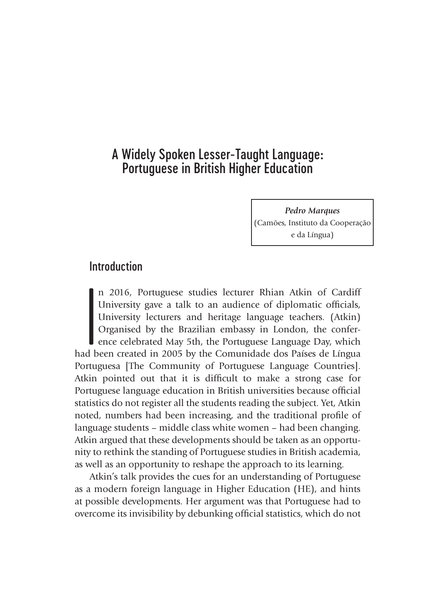# A Widely Spoken Lesser-Taught Language: Portuguese in British Higher Education

*Pedro Marques* (Camões, Instituto da Cooperação e da Língua)

## Introduction

 $\left.\rule{0pt}{2.5cm}\right]$ d b n 2016, Portuguese studies lecturer Rhian Atkin of Cardiff University gave a talk to an audience of diplomatic officials, University lecturers and heritage language teachers. (Atkin) Organised by the Brazilian embassy in London, the conference celebrated May 5th, the Portuguese Language Day, which had been created in 2005 by the Comunidade dos Países de Língua Portuguesa [The Community of Portuguese Language Countries]. Atkin pointed out that it is difficult to make a strong case for Portuguese language education in British universities because official statistics do not register all the students reading the subject. Yet, Atkin noted, numbers had been increasing, and the traditional profile of language students – middle class white women – had been changing. Atkin argued that these developments should be taken as an opportunity to rethink the standing of Portuguese studies in British academia, as well as an opportunity to reshape the approach to its learning.

Atkin's talk provides the cues for an understanding of Portuguese as a modern foreign language in Higher Education (HE), and hints at possible developments. Her argument was that Portuguese had to overcome its invisibility by debunking official statistics, which do not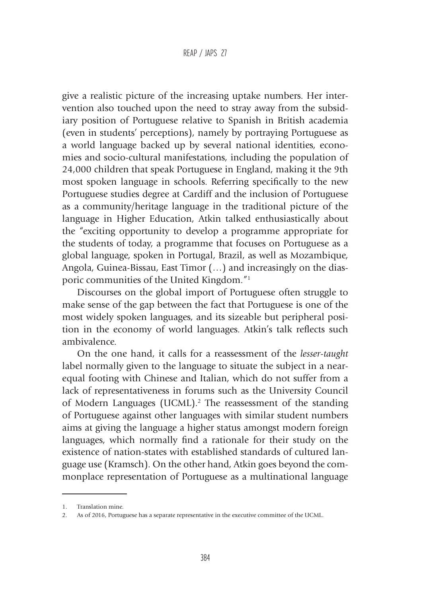give a realistic picture of the increasing uptake numbers. Her intervention also touched upon the need to stray away from the subsidiary position of Portuguese relative to Spanish in British academia (even in students' perceptions), namely by portraying Portuguese as a world language backed up by several national identities, economies and socio-cultural manifestations, including the population of 24,000 children that speak Portuguese in England, making it the 9th most spoken language in schools. Referring specifically to the new Portuguese studies degree at Cardiff and the inclusion of Portuguese as a community/heritage language in the traditional picture of the language in Higher Education, Atkin talked enthusiastically about the "exciting opportunity to develop a programme appropriate for the students of today, a programme that focuses on Portuguese as a global language, spoken in Portugal, Brazil, as well as Mozambique, Angola, Guinea-Bissau, East Timor (…) and increasingly on the diasporic communities of the United Kingdom."1

Discourses on the global import of Portuguese often struggle to make sense of the gap between the fact that Portuguese is one of the most widely spoken languages, and its sizeable but peripheral position in the economy of world languages. Atkin's talk reflects such ambivalence.

On the one hand, it calls for a reassessment of the *lesser*-*taught* label normally given to the language to situate the subject in a nearequal footing with Chinese and Italian, which do not suffer from a lack of representativeness in forums such as the University Council of Modern Languages (UCML).<sup>2</sup> The reassessment of the standing of Portuguese against other languages with similar student numbers aims at giving the language a higher status amongst modern foreign languages, which normally find a rationale for their study on the existence of nation-states with established standards of cultured language use (Kramsch). On the other hand, Atkin goes beyond the commonplace representation of Portuguese as a multinational language

<sup>1.</sup> Translation mine.

<sup>2.</sup> As of 2016, Portuguese has a separate representative in the executive committee of the UCML.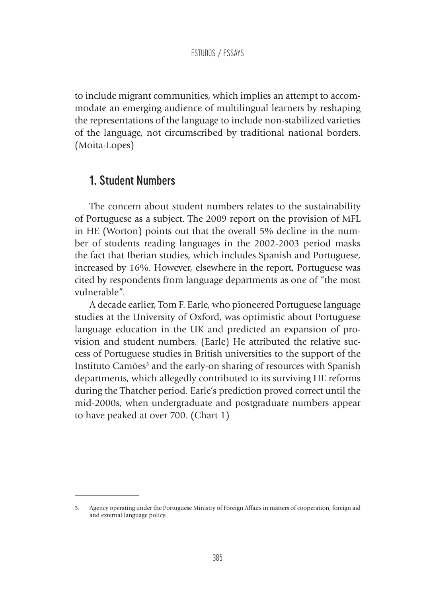to include migrant communities, which implies an attempt to accommodate an emerging audience of multilingual learners by reshaping the representations of the language to include non-stabilized varieties of the language, not circumscribed by traditional national borders. (Moita-Lopes)

## 1. Student Numbers

The concern about student numbers relates to the sustainability of Portuguese as a subject. The 2009 report on the provision of MFL in HE (Worton) points out that the overall 5% decline in the number of students reading languages in the 2002-2003 period masks the fact that Iberian studies, which includes Spanish and Portuguese, increased by 16%. However, elsewhere in the report, Portuguese was cited by respondents from language departments as one of "the most vulnerable".

A decade earlier, Tom F. Earle, who pioneered Portuguese language studies at the University of Oxford, was optimistic about Portuguese language education in the UK and predicted an expansion of provision and student numbers. (Earle) He attributed the relative success of Portuguese studies in British universities to the support of the Instituto Camões<sup>3</sup> and the early-on sharing of resources with Spanish departments, which allegedly contributed to its surviving HE reforms during the Thatcher period. Earle's prediction proved correct until the mid-2000s, when undergraduate and postgraduate numbers appear to have peaked at over 700. (Chart 1)

<sup>3.</sup> Agency operating under the Portuguese Ministry of Foreign Affairs in matters of cooperation, foreign aid and external language policy.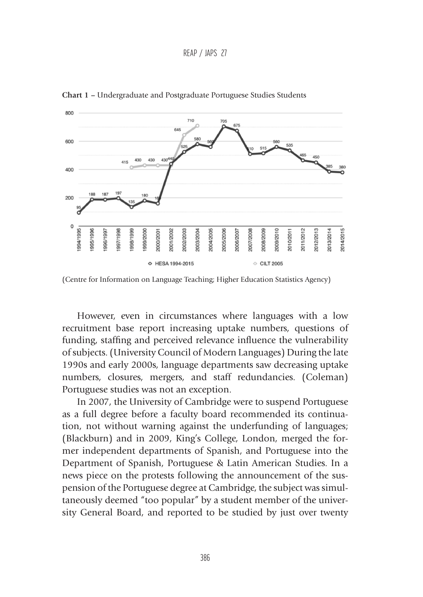```
REAP / JAPS 27
```


**Chart 1 –** Undergraduate and Postgraduate Portuguese Studies Students

However, even in circumstances where languages with a low recruitment base report increasing uptake numbers, questions of funding, staffing and perceived relevance influence the vulnerability of subjects. (University Council of Modern Languages) During the late 1990s and early 2000s, language departments saw decreasing uptake numbers, closures, mergers, and staff redundancies. (Coleman) Portuguese studies was not an exception.

In 2007, the University of Cambridge were to suspend Portuguese as a full degree before a faculty board recommended its continuation, not without warning against the underfunding of languages; (Blackburn) and in 2009, King's College, London, merged the former independent departments of Spanish, and Portuguese into the Department of Spanish, Portuguese & Latin American Studies. In a news piece on the protests following the announcement of the suspension of the Portuguese degree at Cambridge, the subject was simultaneously deemed "too popular" by a student member of the university General Board, and reported to be studied by just over twenty

<sup>(</sup>Centre for Information on Language Teaching; Higher Education Statistics Agency)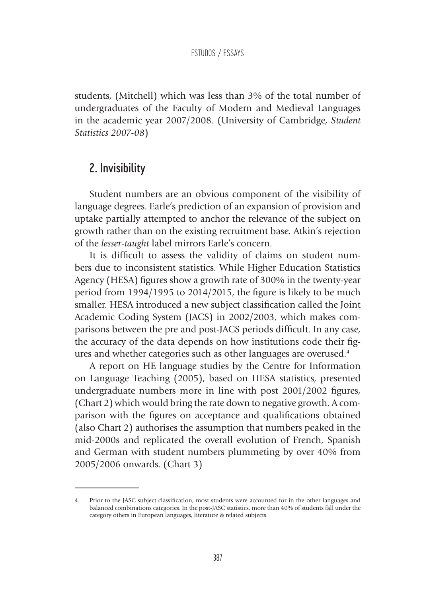students, (Mitchell) which was less than 3% of the total number of undergraduates of the Faculty of Modern and Medieval Languages in the academic year 2007/2008. (University of Cambridge, *Student Statistics 2007-08*)

## 2. Invisibility

Student numbers are an obvious component of the visibility of language degrees. Earle's prediction of an expansion of provision and uptake partially attempted to anchor the relevance of the subject on growth rather than on the existing recruitment base. Atkin's rejection of the *lesser*-*taught* label mirrors Earle's concern.

It is difficult to assess the validity of claims on student numbers due to inconsistent statistics. While Higher Education Statistics Agency (HESA) figures show a growth rate of 300% in the twenty-year period from 1994/1995 to 2014/2015, the figure is likely to be much smaller. HESA introduced a new subject classification called the Joint Academic Coding System (JACS) in 2002/2003, which makes comparisons between the pre and post-JACS periods difficult. In any case, the accuracy of the data depends on how institutions code their figures and whether categories such as other languages are overused.<sup>4</sup>

A report on HE language studies by the Centre for Information on Language Teaching (2005), based on HESA statistics, presented undergraduate numbers more in line with post 2001/2002 figures, (Chart 2) which would bring the rate down to negative growth. A comparison with the figures on acceptance and qualifications obtained (also Chart 2) authorises the assumption that numbers peaked in the mid-2000s and replicated the overall evolution of French, Spanish and German with student numbers plummeting by over 40% from 2005/2006 onwards. (Chart 3)

<sup>4.</sup> Prior to the JASC subject classification, most students were accounted for in the other languages and balanced combinations categories. In the post-JASC statistics, more than 40% of students fall under the category others in European languages, literature & related subjects.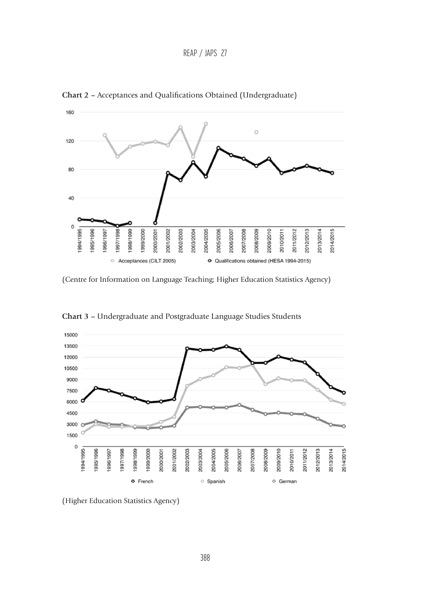REAP / JAPS 27



**Chart 2 –** Acceptances and Qualifications Obtained (Undergraduate)

(Centre for Information on Language Teaching; Higher Education Statistics Agency)



**Chart 3 –** Undergraduate and Postgraduate Language Studies Students

(Higher Education Statistics Agency)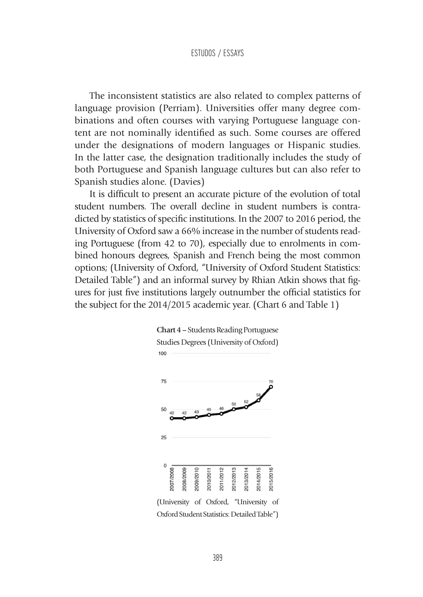The inconsistent statistics are also related to complex patterns of language provision (Perriam). Universities offer many degree combinations and often courses with varying Portuguese language content are not nominally identified as such. Some courses are offered under the designations of modern languages or Hispanic studies. In the latter case, the designation traditionally includes the study of both Portuguese and Spanish language cultures but can also refer to Spanish studies alone. (Davies)

It is difficult to present an accurate picture of the evolution of total student numbers. The overall decline in student numbers is contradicted by statistics of specific institutions. In the 2007 to 2016 period, the University of Oxford saw a 66% increase in the number of students reading Portuguese (from 42 to 70), especially due to enrolments in combined honours degrees, Spanish and French being the most common options; (University of Oxford, "University of Oxford Student Statistics: Detailed Table") and an informal survey by Rhian Atkin shows that figures for just five institutions largely outnumber the official statistics for the subject for the 2014/2015 academic year. (Chart 6 and Table 1)

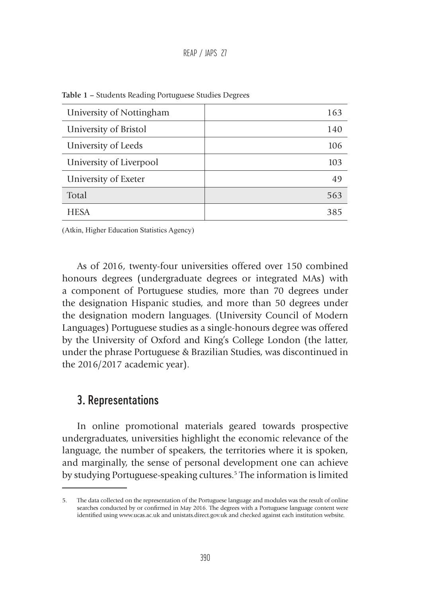### REAP / JAPS 27

| University of Nottingham | 163 |
|--------------------------|-----|
| University of Bristol    | 140 |
| University of Leeds      | 106 |
| University of Liverpool  | 103 |
| University of Exeter     | 49  |
| Total                    | 563 |
| <b>HESA</b>              | 385 |

**Table 1 –** Students Reading Portuguese Studies Degrees

(Atkin, Higher Education Statistics Agency)

As of 2016, twenty-four universities offered over 150 combined honours degrees (undergraduate degrees or integrated MAs) with a component of Portuguese studies, more than 70 degrees under the designation Hispanic studies, and more than 50 degrees under the designation modern languages. (University Council of Modern Languages) Portuguese studies as a single-honours degree was offered by the University of Oxford and King's College London (the latter, under the phrase Portuguese & Brazilian Studies, was discontinued in the 2016/2017 academic year).

### 3. Representations

In online promotional materials geared towards prospective undergraduates, universities highlight the economic relevance of the language, the number of speakers, the territories where it is spoken, and marginally, the sense of personal development one can achieve by studying Portuguese-speaking cultures.<sup>5</sup> The information is limited

<sup>5.</sup> The data collected on the representation of the Portuguese language and modules was the result of online searches conducted by or confirmed in May 2016. The degrees with a Portuguese language content were identified using www.ucas.ac.uk and unistats.direct.gov.uk and checked against each institution website.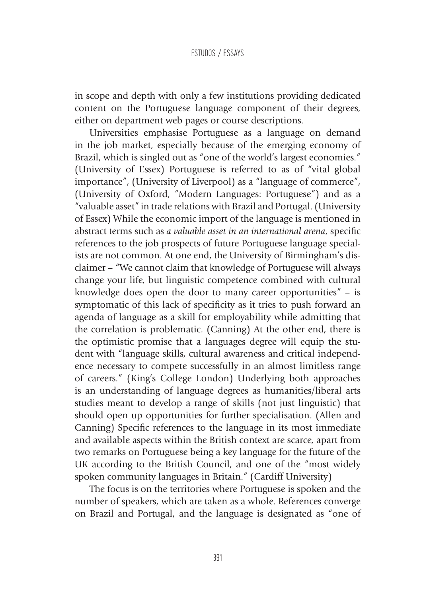in scope and depth with only a few institutions providing dedicated content on the Portuguese language component of their degrees, either on department web pages or course descriptions.

Universities emphasise Portuguese as a language on demand in the job market, especially because of the emerging economy of Brazil, which is singled out as "one of the world's largest economies." (University of Essex) Portuguese is referred to as of "vital global importance", (University of Liverpool) as a "language of commerce", (University of Oxford, "Modern Languages: Portuguese") and as a "valuable asset" in trade relations with Brazil and Portugal. (University of Essex) While the economic import of the language is mentioned in abstract terms such as *a valuable asset in an international arena*, specific references to the job prospects of future Portuguese language specialists are not common. At one end, the University of Birmingham's disclaimer – "We cannot claim that knowledge of Portuguese will always change your life, but linguistic competence combined with cultural knowledge does open the door to many career opportunities" – is symptomatic of this lack of specificity as it tries to push forward an agenda of language as a skill for employability while admitting that the correlation is problematic. (Canning) At the other end, there is the optimistic promise that a languages degree will equip the student with "language skills, cultural awareness and critical independence necessary to compete successfully in an almost limitless range of careers." (King's College London) Underlying both approaches is an understanding of language degrees as humanities/liberal arts studies meant to develop a range of skills (not just linguistic) that should open up opportunities for further specialisation. (Allen and Canning) Specific references to the language in its most immediate and available aspects within the British context are scarce, apart from two remarks on Portuguese being a key language for the future of the UK according to the British Council, and one of the "most widely spoken community languages in Britain." (Cardiff University)

The focus is on the territories where Portuguese is spoken and the number of speakers, which are taken as a whole. References converge on Brazil and Portugal, and the language is designated as "one of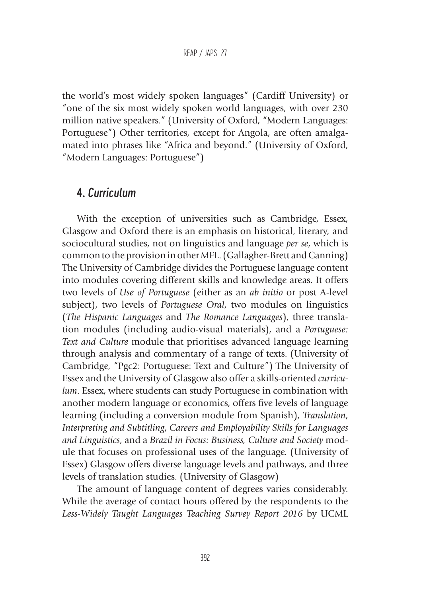the world's most widely spoken languages" (Cardiff University) or "one of the six most widely spoken world languages, with over 230 million native speakers." (University of Oxford, "Modern Languages: Portuguese") Other territories, except for Angola, are often amalgamated into phrases like "Africa and beyond." (University of Oxford, "Modern Languages: Portuguese")

### 4. *Curriculum*

With the exception of universities such as Cambridge, Essex, Glasgow and Oxford there is an emphasis on historical, literary, and sociocultural studies, not on linguistics and language *per se*, which is common to the provision in other MFL. (Gallagher-Brett and Canning) The University of Cambridge divides the Portuguese language content into modules covering different skills and knowledge areas. It offers two levels of *Use of Portuguese* (either as an *ab initio* or post A-level subject), two levels of *Portuguese Oral*, two modules on linguistics (*The Hispanic Languages* and *The Romance Languages*), three translation modules (including audio-visual materials), and a *Portuguese: Text and Culture* module that prioritises advanced language learning through analysis and commentary of a range of texts. (University of Cambridge, "Pgc2: Portuguese: Text and Culture") The University of Essex and the University of Glasgow also offer a skills-oriented *curriculum*. Essex, where students can study Portuguese in combination with another modern language or economics, offers five levels of language learning (including a conversion module from Spanish), *Translation*, *Interpreting and Subtitling*, *Careers and Employability Skills for Languages and Linguistics*, and a *Brazil in Focus: Business, Culture and Society* module that focuses on professional uses of the language. (University of Essex) Glasgow offers diverse language levels and pathways, and three levels of translation studies. (University of Glasgow)

The amount of language content of degrees varies considerably. While the average of contact hours offered by the respondents to the *Less-Widely Taught Languages Teaching Survey Report 2016* by UCML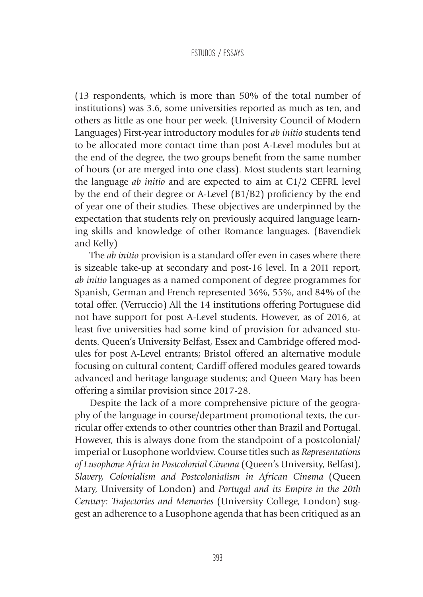(13 respondents, which is more than 50% of the total number of institutions) was 3.6, some universities reported as much as ten, and others as little as one hour per week. (University Council of Modern Languages) First-year introductory modules for *ab initio* students tend to be allocated more contact time than post A-Level modules but at the end of the degree, the two groups benefit from the same number of hours (or are merged into one class). Most students start learning the language *ab initio* and are expected to aim at C1/2 CEFRL level by the end of their degree or A-Level (B1/B2) proficiency by the end of year one of their studies. These objectives are underpinned by the expectation that students rely on previously acquired language learning skills and knowledge of other Romance languages. (Bavendiek and Kelly)

The *ab initio* provision is a standard offer even in cases where there is sizeable take-up at secondary and post-16 level. In a 2011 report, *ab initio* languages as a named component of degree programmes for Spanish, German and French represented 36%, 55%, and 84% of the total offer. (Verruccio) All the 14 institutions offering Portuguese did not have support for post A-Level students. However, as of 2016, at least five universities had some kind of provision for advanced students. Queen's University Belfast, Essex and Cambridge offered modules for post A-Level entrants; Bristol offered an alternative module focusing on cultural content; Cardiff offered modules geared towards advanced and heritage language students; and Queen Mary has been offering a similar provision since 2017-28.

Despite the lack of a more comprehensive picture of the geography of the language in course/department promotional texts, the curricular offer extends to other countries other than Brazil and Portugal. However, this is always done from the standpoint of a postcolonial/ imperial or Lusophone worldview. Course titles such as *Representations of Lusophone Africa in Postcolonial Cinema* (Queen's University, Belfast), *Slavery, Colonialism and Postcolonialism in African Cinema* (Queen Mary, University of London) and *Portugal and its Empire in the 20th Century: Trajectories and Memories* (University College, London) suggest an adherence to a Lusophone agenda that has been critiqued as an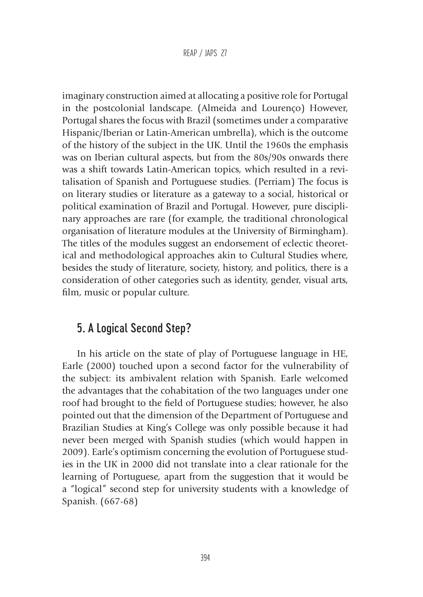imaginary construction aimed at allocating a positive role for Portugal in the postcolonial landscape. (Almeida and Lourenço) However, Portugal shares the focus with Brazil (sometimes under a comparative Hispanic/Iberian or Latin-American umbrella), which is the outcome of the history of the subject in the UK. Until the 1960s the emphasis was on Iberian cultural aspects, but from the 80s/90s onwards there was a shift towards Latin-American topics, which resulted in a revitalisation of Spanish and Portuguese studies. (Perriam) The focus is on literary studies or literature as a gateway to a social, historical or political examination of Brazil and Portugal. However, pure disciplinary approaches are rare (for example, the traditional chronological organisation of literature modules at the University of Birmingham). The titles of the modules suggest an endorsement of eclectic theoretical and methodological approaches akin to Cultural Studies where, besides the study of literature, society, history, and politics, there is a consideration of other categories such as identity, gender, visual arts, film, music or popular culture.

## 5. A Logical Second Step?

In his article on the state of play of Portuguese language in HE, Earle (2000) touched upon a second factor for the vulnerability of the subject: its ambivalent relation with Spanish. Earle welcomed the advantages that the cohabitation of the two languages under one roof had brought to the field of Portuguese studies; however, he also pointed out that the dimension of the Department of Portuguese and Brazilian Studies at King's College was only possible because it had never been merged with Spanish studies (which would happen in 2009). Earle's optimism concerning the evolution of Portuguese studies in the UK in 2000 did not translate into a clear rationale for the learning of Portuguese, apart from the suggestion that it would be a "logical" second step for university students with a knowledge of Spanish. (667-68)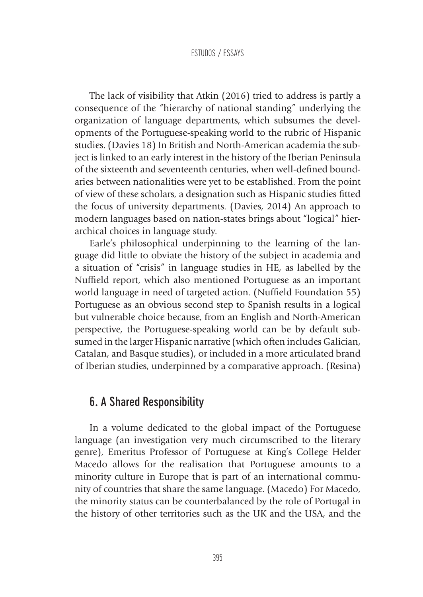The lack of visibility that Atkin (2016) tried to address is partly a consequence of the "hierarchy of national standing" underlying the organization of language departments, which subsumes the developments of the Portuguese-speaking world to the rubric of Hispanic studies. (Davies 18) In British and North-American academia the subject is linked to an early interest in the history of the Iberian Peninsula of the sixteenth and seventeenth centuries, when well-defined boundaries between nationalities were yet to be established. From the point of view of these scholars, a designation such as Hispanic studies fitted the focus of university departments. (Davies, 2014) An approach to modern languages based on nation-states brings about "logical" hierarchical choices in language study.

Earle's philosophical underpinning to the learning of the language did little to obviate the history of the subject in academia and a situation of "crisis" in language studies in HE, as labelled by the Nuffield report, which also mentioned Portuguese as an important world language in need of targeted action. (Nuffield Foundation 55) Portuguese as an obvious second step to Spanish results in a logical but vulnerable choice because, from an English and North-American perspective, the Portuguese-speaking world can be by default subsumed in the larger Hispanic narrative (which often includes Galician, Catalan, and Basque studies), or included in a more articulated brand of Iberian studies, underpinned by a comparative approach. (Resina)

### 6. A Shared Responsibility

In a volume dedicated to the global impact of the Portuguese language (an investigation very much circumscribed to the literary genre), Emeritus Professor of Portuguese at King's College Helder Macedo allows for the realisation that Portuguese amounts to a minority culture in Europe that is part of an international community of countries that share the same language. (Macedo) For Macedo, the minority status can be counterbalanced by the role of Portugal in the history of other territories such as the UK and the USA, and the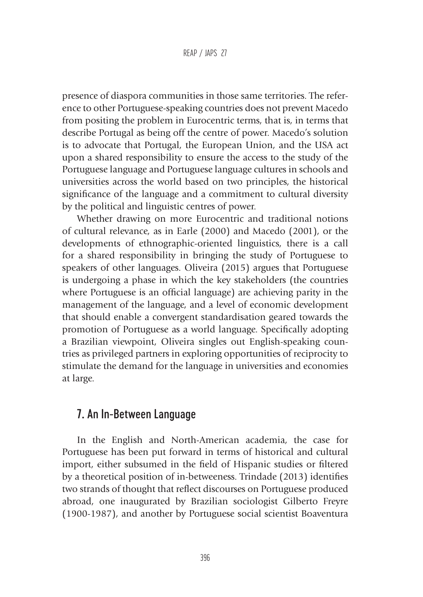presence of diaspora communities in those same territories. The reference to other Portuguese-speaking countries does not prevent Macedo from positing the problem in Eurocentric terms, that is, in terms that describe Portugal as being off the centre of power. Macedo's solution is to advocate that Portugal, the European Union, and the USA act upon a shared responsibility to ensure the access to the study of the Portuguese language and Portuguese language cultures in schools and universities across the world based on two principles, the historical significance of the language and a commitment to cultural diversity by the political and linguistic centres of power.

Whether drawing on more Eurocentric and traditional notions of cultural relevance, as in Earle (2000) and Macedo (2001), or the developments of ethnographic-oriented linguistics, there is a call for a shared responsibility in bringing the study of Portuguese to speakers of other languages. Oliveira (2015) argues that Portuguese is undergoing a phase in which the key stakeholders (the countries where Portuguese is an official language) are achieving parity in the management of the language, and a level of economic development that should enable a convergent standardisation geared towards the promotion of Portuguese as a world language. Specifically adopting a Brazilian viewpoint, Oliveira singles out English-speaking countries as privileged partners in exploring opportunities of reciprocity to stimulate the demand for the language in universities and economies at large.

## 7. An In-Between Language

In the English and North-American academia, the case for Portuguese has been put forward in terms of historical and cultural import, either subsumed in the field of Hispanic studies or filtered by a theoretical position of in-betweeness. Trindade (2013) identifies two strands of thought that reflect discourses on Portuguese produced abroad, one inaugurated by Brazilian sociologist Gilberto Freyre (1900-1987), and another by Portuguese social scientist Boaventura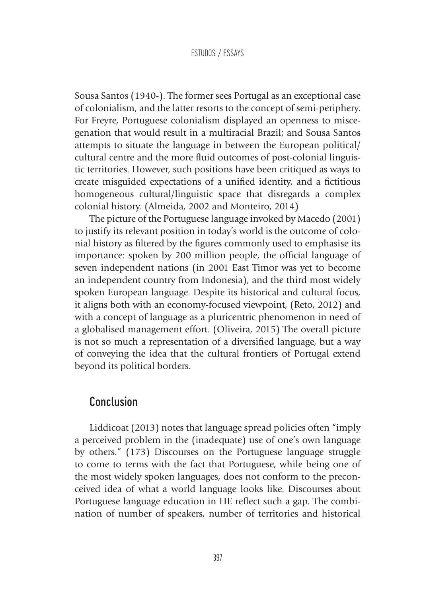Sousa Santos (1940-). The former sees Portugal as an exceptional case of colonialism, and the latter resorts to the concept of semi-periphery. For Freyre, Portuguese colonialism displayed an openness to miscegenation that would result in a multiracial Brazil; and Sousa Santos attempts to situate the language in between the European political/ cultural centre and the more fluid outcomes of post-colonial linguistic territories. However, such positions have been critiqued as ways to create misguided expectations of a unified identity, and a fictitious homogeneous cultural/linguistic space that disregards a complex colonial history. (Almeida, 2002 and Monteiro, 2014)

The picture of the Portuguese language invoked by Macedo (2001) to justify its relevant position in today's world is the outcome of colonial history as filtered by the figures commonly used to emphasise its importance: spoken by 200 million people, the official language of seven independent nations (in 2001 East Timor was yet to become an independent country from Indonesia), and the third most widely spoken European language. Despite its historical and cultural focus, it aligns both with an economy-focused viewpoint, (Reto, 2012) and with a concept of language as a pluricentric phenomenon in need of a globalised management effort. (Oliveira, 2015) The overall picture is not so much a representation of a diversified language, but a way of conveying the idea that the cultural frontiers of Portugal extend beyond its political borders.

## Conclusion

Liddicoat (2013) notes that language spread policies often "imply a perceived problem in the (inadequate) use of one's own language by others." (173) Discourses on the Portuguese language struggle to come to terms with the fact that Portuguese, while being one of the most widely spoken languages, does not conform to the preconceived idea of what a world language looks like. Discourses about Portuguese language education in HE reflect such a gap. The combination of number of speakers, number of territories and historical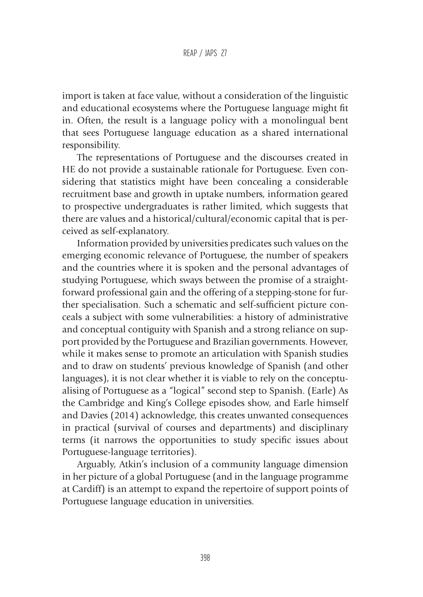import is taken at face value, without a consideration of the linguistic and educational ecosystems where the Portuguese language might fit in. Often, the result is a language policy with a monolingual bent that sees Portuguese language education as a shared international responsibility.

The representations of Portuguese and the discourses created in HE do not provide a sustainable rationale for Portuguese. Even considering that statistics might have been concealing a considerable recruitment base and growth in uptake numbers, information geared to prospective undergraduates is rather limited, which suggests that there are values and a historical/cultural/economic capital that is perceived as self-explanatory.

Information provided by universities predicates such values on the emerging economic relevance of Portuguese, the number of speakers and the countries where it is spoken and the personal advantages of studying Portuguese, which sways between the promise of a straightforward professional gain and the offering of a stepping-stone for further specialisation. Such a schematic and self-sufficient picture conceals a subject with some vulnerabilities: a history of administrative and conceptual contiguity with Spanish and a strong reliance on support provided by the Portuguese and Brazilian governments. However, while it makes sense to promote an articulation with Spanish studies and to draw on students' previous knowledge of Spanish (and other languages), it is not clear whether it is viable to rely on the conceptualising of Portuguese as a "logical" second step to Spanish. (Earle) As the Cambridge and King's College episodes show, and Earle himself and Davies (2014) acknowledge, this creates unwanted consequences in practical (survival of courses and departments) and disciplinary terms (it narrows the opportunities to study specific issues about Portuguese-language territories).

Arguably, Atkin's inclusion of a community language dimension in her picture of a global Portuguese (and in the language programme at Cardiff) is an attempt to expand the repertoire of support points of Portuguese language education in universities.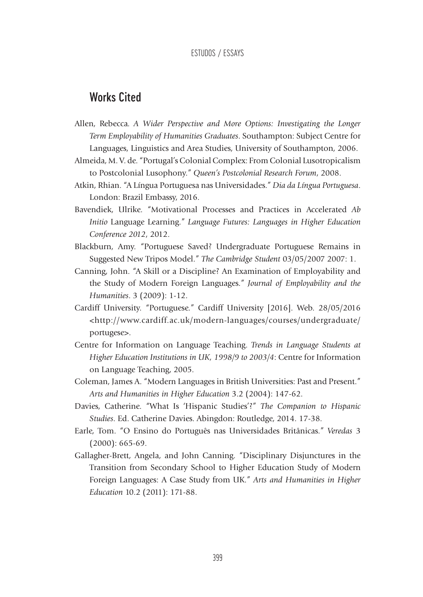### Works Cited

- Allen, Rebecca. *A Wider Perspective and More Options: Investigating the Longer Term Employability of Humanities Graduates*. Southampton: Subject Centre for Languages, Linguistics and Area Studies, University of Southampton, 2006.
- Almeida, M. V. de. "Portugal's Colonial Complex: From Colonial Lusotropicalism to Postcolonial Lusophony." *Queen's Postcolonial Research Forum*, 2008.
- Atkin, Rhian. "A Língua Portuguesa nas Universidades." *Dia da Língua Portuguesa*. London: Brazil Embassy, 2016.
- Bavendiek, Ulrike. "Motivational Processes and Practices in Accelerated *Ab Initio* Language Learning." *Language Futures: Languages in Higher Education Conference 2012*, 2012.
- Blackburn, Amy. "Portuguese Saved? Undergraduate Portuguese Remains in Suggested New Tripos Model." *The Cambridge Student* 03/05/2007 2007: 1.
- Canning, John. "A Skill or a Discipline? An Examination of Employability and the Study of Modern Foreign Languages." *Journal of Employability and the Humanities*. 3 (2009): 1-12.
- Cardiff University. "Portuguese." Cardiff University [2016]. Web. 28/05/2016 <http://www.cardiff.ac.uk/modern-languages/courses/undergraduate/ portugese>.
- Centre for Information on Language Teaching. *Trends in Language Students at Higher Education Institutions in UK, 1998/9 to 2003/4*: Centre for Information on Language Teaching, 2005.
- Coleman, James A. "Modern Languages in British Universities: Past and Present." *Arts and Humanities in Higher Education* 3.2 (2004): 147-62.
- Davies, Catherine. "What Is 'Hispanic Studies'?" *The Companion to Hispanic Studies*. Ed. Catherine Davies. Abingdon: Routledge, 2014. 17-38.
- Earle, Tom. "O Ensino do Português nas Universidades Britânicas." *Veredas* 3 (2000): 665-69.
- Gallagher-Brett, Angela, and John Canning. "Disciplinary Disjunctures in the Transition from Secondary School to Higher Education Study of Modern Foreign Languages: A Case Study from UK." *Arts and Humanities in Higher Education* 10.2 (2011): 171-88.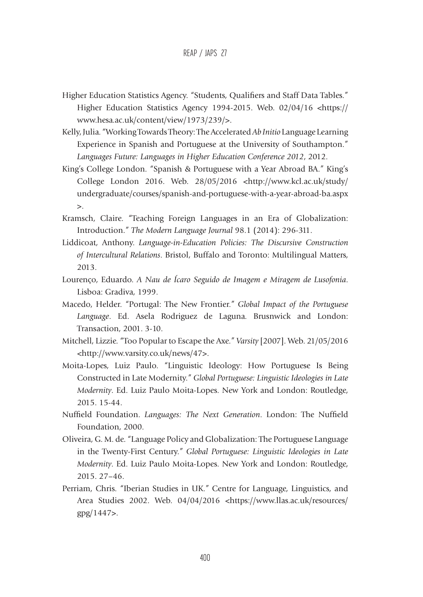- Higher Education Statistics Agency. "Students, Qualifiers and Staff Data Tables." Higher Education Statistics Agency 1994-2015. Web. 02/04/16 <https:// www.hesa.ac.uk/content/view/1973/239/>.
- Kelly, Julia. "Working Towards Theory: The Accelerated *Ab Initio* Language Learning Experience in Spanish and Portuguese at the University of Southampton." *Languages Future: Languages in Higher Education Conference 2012*, 2012.
- King's College London. "Spanish & Portuguese with a Year Abroad BA." King's College London 2016. Web. 28/05/2016 <http://www.kcl.ac.uk/study/ undergraduate/courses/spanish-and-portuguese-with-a-year-abroad-ba.aspx  $\mathbf{z}$ .
- Kramsch, Claire. "Teaching Foreign Languages in an Era of Globalization: Introduction." *The Modern Language Journal* 98.1 (2014): 296-311.
- Liddicoat, Anthony. *Language-in-Education Policies: The Discursive Construction of Intercultural Relations*. Bristol, Buffalo and Toronto: Multilingual Matters, 2013.
- Lourenço, Eduardo. *A Nau de Ícaro Seguido de Imagem e Miragem de Lusofonia*. Lisboa: Gradiva, 1999.
- Macedo, Helder. "Portugal: The New Frontier." *Global Impact of the Portuguese Language*. Ed. Asela Rodriguez de Laguna. Brusnwick and London: Transaction, 2001. 3-10.
- Mitchell, Lizzie. "Too Popular to Escape the Axe." *Varsity* [2007]. Web. 21/05/2016 <http://www.varsity.co.uk/news/47>.
- Moita-Lopes, Luiz Paulo. "Linguistic Ideology: How Portuguese Is Being Constructed in Late Modernity." *Global Portuguese: Linguistic Ideologies in Late Modernity*. Ed. Luiz Paulo Moita-Lopes. New York and London: Routledge, 2015. 15-44.
- Nuffield Foundation. *Languages: The Next Generation*. London: The Nuffield Foundation, 2000.
- Oliveira, G. M. de. "Language Policy and Globalization: The Portuguese Language in the Twenty-First Century." *Global Portuguese: Linguistic Ideologies in Late Modernity*. Ed. Luiz Paulo Moita-Lopes. New York and London: Routledge, 2015. 27–46.
- Perriam, Chris. "Iberian Studies in UK." Centre for Language, Linguistics, and Area Studies 2002. Web. 04/04/2016 <https://www.llas.ac.uk/resources/ gpg/1447>.